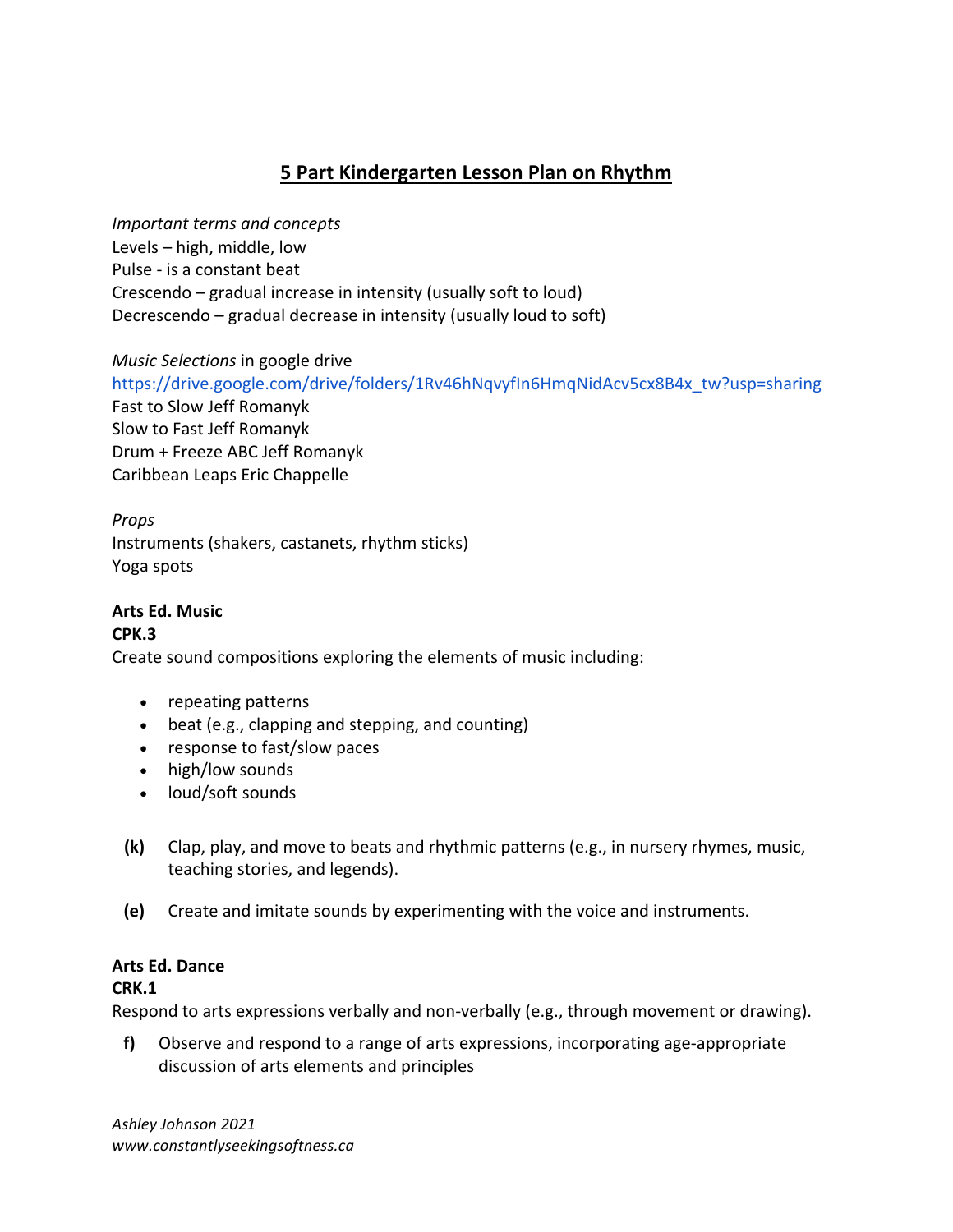# **5 Part Kindergarten Lesson Plan on Rhythm**

*Important terms and concepts* Levels  $-$  high, middle, low Pulse - is a constant beat Crescendo – gradual increase in intensity (usually soft to loud) Decrescendo – gradual decrease in intensity (usually loud to soft)

*Music Selections* in google drive https://drive.google.com/drive/folders/1Rv46hNqvyfIn6HmqNidAcv5cx8B4x\_tw?usp=sharing Fast to Slow Jeff Romanyk Slow to Fast Jeff Romanyk Drum + Freeze ABC Jeff Romanyk Caribbean Leaps Eric Chappelle

*Props*  Instruments (shakers, castanets, rhythm sticks) Yoga spots

## **Arts Ed. Music**

### **CPK.3**

Create sound compositions exploring the elements of music including:

- repeating patterns
- beat (e.g., clapping and stepping, and counting)
- response to fast/slow paces
- high/low sounds
- $\bullet$  loud/soft sounds
- **(k)** Clap, play, and move to beats and rhythmic patterns (e.g., in nursery rhymes, music, teaching stories, and legends).
- **(e)** Create and imitate sounds by experimenting with the voice and instruments.

#### **Arts Ed. Dance**

#### **CRK.1**

Respond to arts expressions verbally and non-verbally (e.g., through movement or drawing).

**f)** Observe and respond to a range of arts expressions, incorporating age-appropriate discussion of arts elements and principles

*Ashley Johnson 2021 www.constantlyseekingsoftness.ca*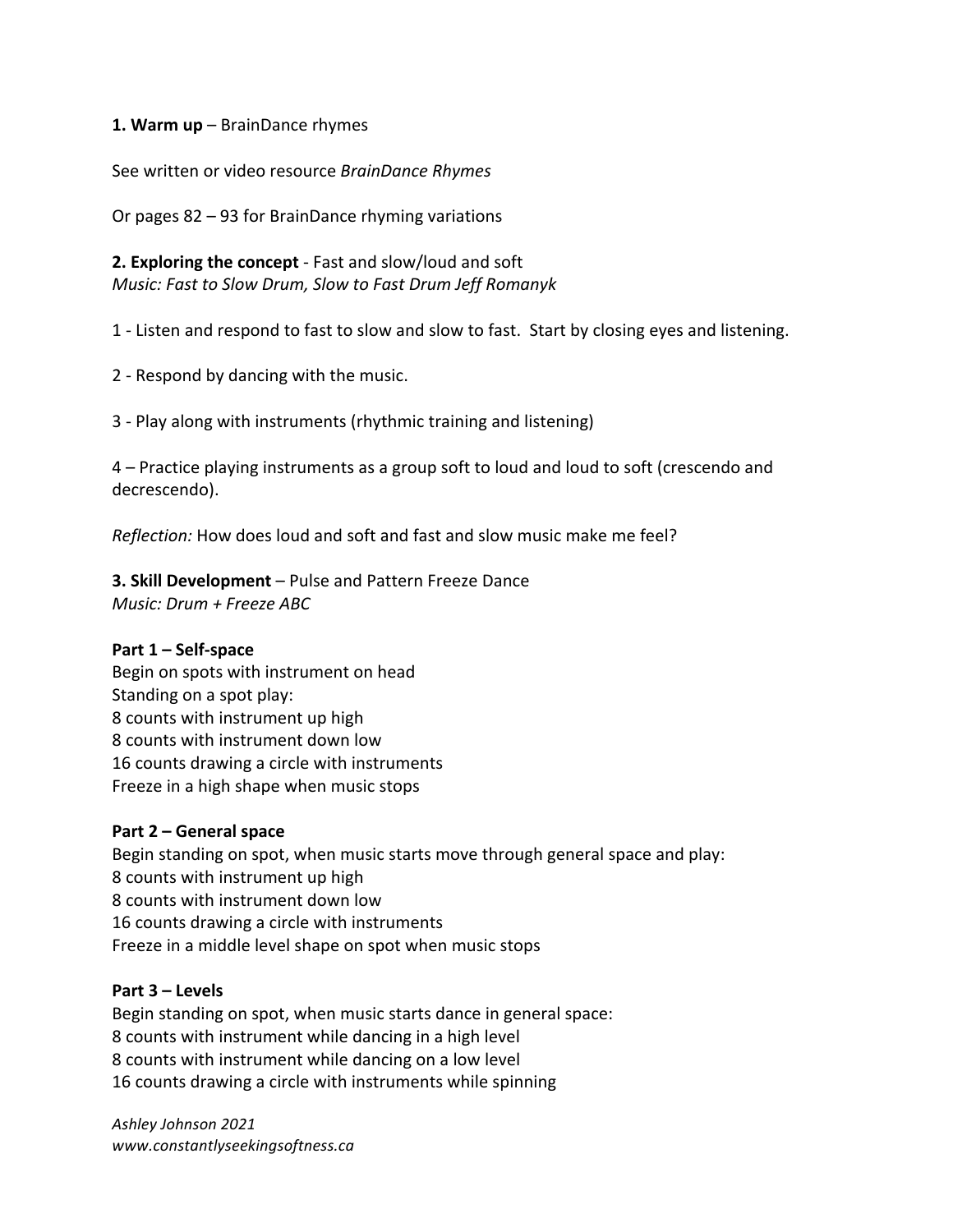#### **1. Warm up** – BrainDance rhymes

See written or video resource *BrainDance Rhymes* 

Or pages  $82 - 93$  for BrainDance rhyming variations

**2. Exploring the concept** - Fast and slow/loud and soft *Music: Fast to Slow Drum, Slow to Fast Drum Jeff Romanyk* 

1 - Listen and respond to fast to slow and slow to fast. Start by closing eyes and listening.

2 - Respond by dancing with the music.

3 - Play along with instruments (rhythmic training and listening)

4 – Practice playing instruments as a group soft to loud and loud to soft (crescendo and decrescendo).

*Reflection:* How does loud and soft and fast and slow music make me feel?

**3. Skill Development** – Pulse and Pattern Freeze Dance

*Music: Drum + Freeze ABC*

#### **Part 1 – Self-space**

Begin on spots with instrument on head Standing on a spot play: 8 counts with instrument up high 8 counts with instrument down low 16 counts drawing a circle with instruments Freeze in a high shape when music stops

#### **Part 2 – General space**

Begin standing on spot, when music starts move through general space and play: 8 counts with instrument up high 8 counts with instrument down low 16 counts drawing a circle with instruments Freeze in a middle level shape on spot when music stops

#### **Part 3 – Levels**

Begin standing on spot, when music starts dance in general space: 8 counts with instrument while dancing in a high level 8 counts with instrument while dancing on a low level 16 counts drawing a circle with instruments while spinning

*Ashley Johnson 2021 www.constantlyseekingsoftness.ca*